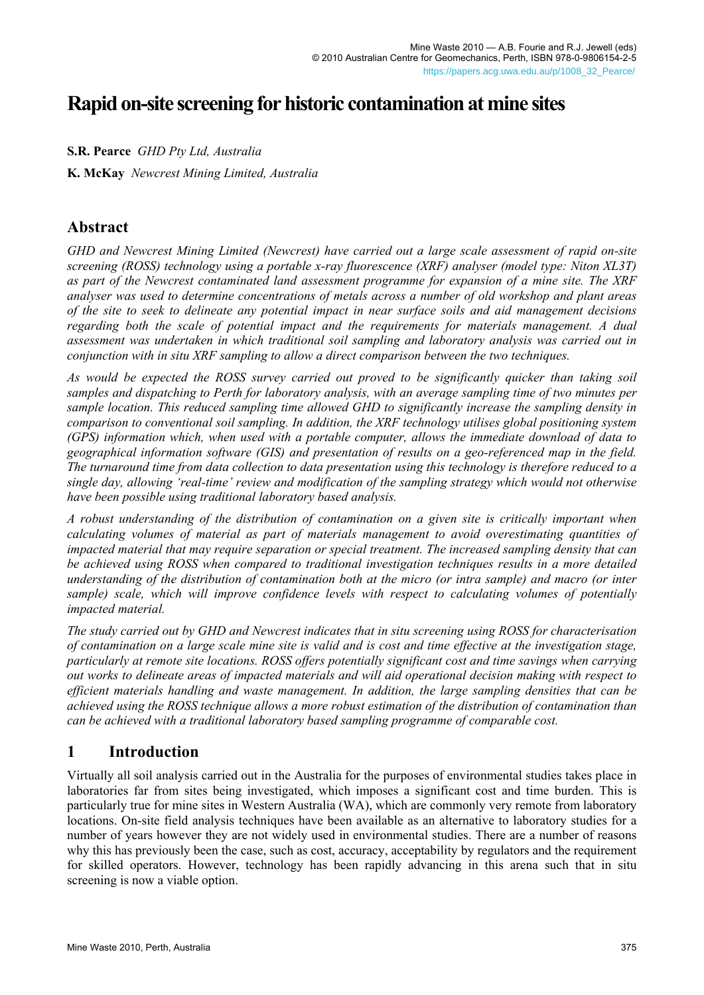# **Rapid on-site screening for historic contamination at mine sites**

**S.R. Pearce** *GHD Pty Ltd, Australia* 

**K. McKay** *Newcrest Mining Limited, Australia* 

# **Abstract**

*GHD and Newcrest Mining Limited (Newcrest) have carried out a large scale assessment of rapid on-site screening (ROSS) technology using a portable x-ray fluorescence (XRF) analyser (model type: Niton XL3T) as part of the Newcrest contaminated land assessment programme for expansion of a mine site. The XRF analyser was used to determine concentrations of metals across a number of old workshop and plant areas of the site to seek to delineate any potential impact in near surface soils and aid management decisions regarding both the scale of potential impact and the requirements for materials management. A dual assessment was undertaken in which traditional soil sampling and laboratory analysis was carried out in conjunction with in situ XRF sampling to allow a direct comparison between the two techniques.* 

*As would be expected the ROSS survey carried out proved to be significantly quicker than taking soil samples and dispatching to Perth for laboratory analysis, with an average sampling time of two minutes per sample location. This reduced sampling time allowed GHD to significantly increase the sampling density in comparison to conventional soil sampling. In addition, the XRF technology utilises global positioning system (GPS) information which, when used with a portable computer, allows the immediate download of data to geographical information software (GIS) and presentation of results on a geo-referenced map in the field. The turnaround time from data collection to data presentation using this technology is therefore reduced to a single day, allowing 'real-time' review and modification of the sampling strategy which would not otherwise have been possible using traditional laboratory based analysis.* 

*A robust understanding of the distribution of contamination on a given site is critically important when calculating volumes of material as part of materials management to avoid overestimating quantities of impacted material that may require separation or special treatment. The increased sampling density that can be achieved using ROSS when compared to traditional investigation techniques results in a more detailed understanding of the distribution of contamination both at the micro (or intra sample) and macro (or inter sample) scale, which will improve confidence levels with respect to calculating volumes of potentially impacted material.* 

*The study carried out by GHD and Newcrest indicates that in situ screening using ROSS for characterisation of contamination on a large scale mine site is valid and is cost and time effective at the investigation stage, particularly at remote site locations. ROSS offers potentially significant cost and time savings when carrying out works to delineate areas of impacted materials and will aid operational decision making with respect to efficient materials handling and waste management. In addition, the large sampling densities that can be achieved using the ROSS technique allows a more robust estimation of the distribution of contamination than can be achieved with a traditional laboratory based sampling programme of comparable cost.* 

# **1 Introduction**

Virtually all soil analysis carried out in the Australia for the purposes of environmental studies takes place in laboratories far from sites being investigated, which imposes a significant cost and time burden. This is particularly true for mine sites in Western Australia (WA), which are commonly very remote from laboratory locations. On-site field analysis techniques have been available as an alternative to laboratory studies for a number of years however they are not widely used in environmental studies. There are a number of reasons why this has previously been the case, such as cost, accuracy, acceptability by regulators and the requirement for skilled operators. However, technology has been rapidly advancing in this arena such that in situ screening is now a viable option.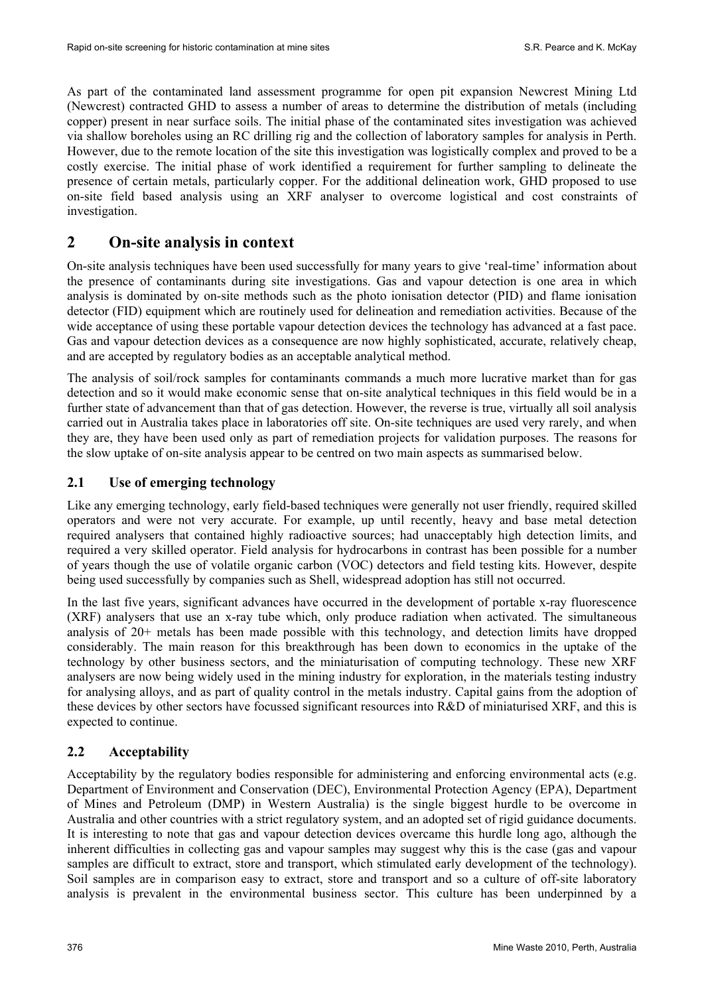As part of the contaminated land assessment programme for open pit expansion Newcrest Mining Ltd (Newcrest) contracted GHD to assess a number of areas to determine the distribution of metals (including copper) present in near surface soils. The initial phase of the contaminated sites investigation was achieved via shallow boreholes using an RC drilling rig and the collection of laboratory samples for analysis in Perth. However, due to the remote location of the site this investigation was logistically complex and proved to be a costly exercise. The initial phase of work identified a requirement for further sampling to delineate the presence of certain metals, particularly copper. For the additional delineation work, GHD proposed to use on-site field based analysis using an XRF analyser to overcome logistical and cost constraints of investigation.

# **2 On-site analysis in context**

On-site analysis techniques have been used successfully for many years to give 'real-time' information about the presence of contaminants during site investigations. Gas and vapour detection is one area in which analysis is dominated by on-site methods such as the photo ionisation detector (PID) and flame ionisation detector (FID) equipment which are routinely used for delineation and remediation activities. Because of the wide acceptance of using these portable vapour detection devices the technology has advanced at a fast pace. Gas and vapour detection devices as a consequence are now highly sophisticated, accurate, relatively cheap, and are accepted by regulatory bodies as an acceptable analytical method.

The analysis of soil/rock samples for contaminants commands a much more lucrative market than for gas detection and so it would make economic sense that on-site analytical techniques in this field would be in a further state of advancement than that of gas detection. However, the reverse is true, virtually all soil analysis carried out in Australia takes place in laboratories off site. On-site techniques are used very rarely, and when they are, they have been used only as part of remediation projects for validation purposes. The reasons for the slow uptake of on-site analysis appear to be centred on two main aspects as summarised below.

### **2.1 Use of emerging technology**

Like any emerging technology, early field-based techniques were generally not user friendly, required skilled operators and were not very accurate. For example, up until recently, heavy and base metal detection required analysers that contained highly radioactive sources; had unacceptably high detection limits, and required a very skilled operator. Field analysis for hydrocarbons in contrast has been possible for a number of years though the use of volatile organic carbon (VOC) detectors and field testing kits. However, despite being used successfully by companies such as Shell, widespread adoption has still not occurred.

In the last five years, significant advances have occurred in the development of portable x-ray fluorescence (XRF) analysers that use an x-ray tube which, only produce radiation when activated. The simultaneous analysis of 20+ metals has been made possible with this technology, and detection limits have dropped considerably. The main reason for this breakthrough has been down to economics in the uptake of the technology by other business sectors, and the miniaturisation of computing technology. These new XRF analysers are now being widely used in the mining industry for exploration, in the materials testing industry for analysing alloys, and as part of quality control in the metals industry. Capital gains from the adoption of these devices by other sectors have focussed significant resources into R&D of miniaturised XRF, and this is expected to continue.

### **2.2 Acceptability**

Acceptability by the regulatory bodies responsible for administering and enforcing environmental acts (e.g. Department of Environment and Conservation (DEC), Environmental Protection Agency (EPA), Department of Mines and Petroleum (DMP) in Western Australia) is the single biggest hurdle to be overcome in Australia and other countries with a strict regulatory system, and an adopted set of rigid guidance documents. It is interesting to note that gas and vapour detection devices overcame this hurdle long ago, although the inherent difficulties in collecting gas and vapour samples may suggest why this is the case (gas and vapour samples are difficult to extract, store and transport, which stimulated early development of the technology). Soil samples are in comparison easy to extract, store and transport and so a culture of off-site laboratory analysis is prevalent in the environmental business sector. This culture has been underpinned by a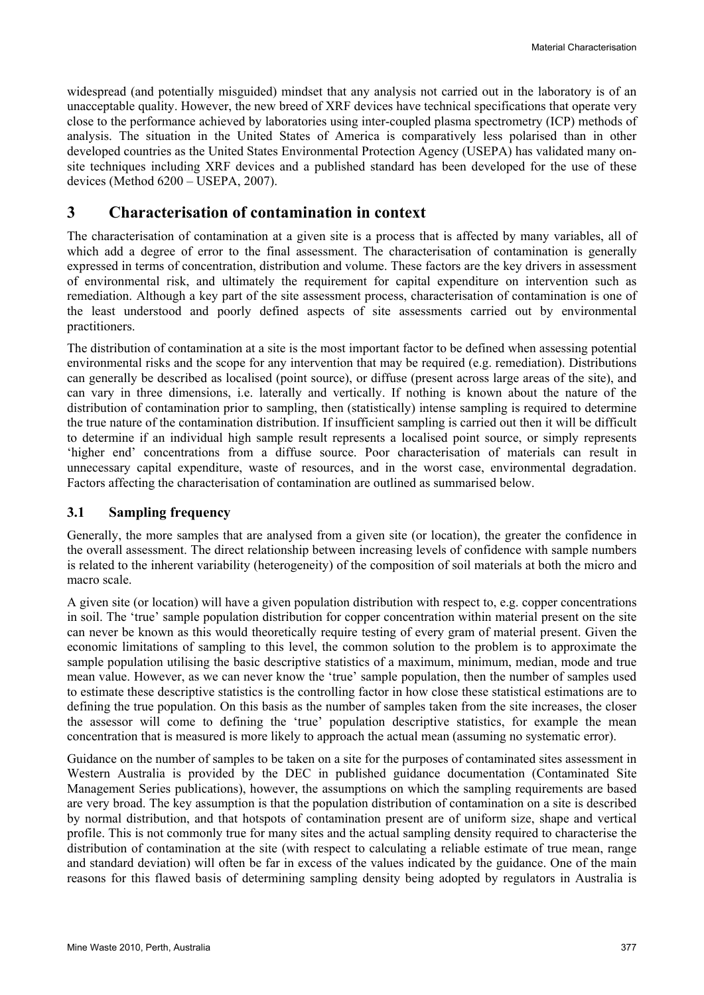widespread (and potentially misguided) mindset that any analysis not carried out in the laboratory is of an unacceptable quality. However, the new breed of XRF devices have technical specifications that operate very close to the performance achieved by laboratories using inter-coupled plasma spectrometry (ICP) methods of analysis. The situation in the United States of America is comparatively less polarised than in other developed countries as the United States Environmental Protection Agency (USEPA) has validated many onsite techniques including XRF devices and a published standard has been developed for the use of these devices (Method 6200 – USEPA, 2007).

# **3 Characterisation of contamination in context**

The characterisation of contamination at a given site is a process that is affected by many variables, all of which add a degree of error to the final assessment. The characterisation of contamination is generally expressed in terms of concentration, distribution and volume. These factors are the key drivers in assessment of environmental risk, and ultimately the requirement for capital expenditure on intervention such as remediation. Although a key part of the site assessment process, characterisation of contamination is one of the least understood and poorly defined aspects of site assessments carried out by environmental practitioners.

The distribution of contamination at a site is the most important factor to be defined when assessing potential environmental risks and the scope for any intervention that may be required (e.g. remediation). Distributions can generally be described as localised (point source), or diffuse (present across large areas of the site), and can vary in three dimensions, i.e. laterally and vertically. If nothing is known about the nature of the distribution of contamination prior to sampling, then (statistically) intense sampling is required to determine the true nature of the contamination distribution. If insufficient sampling is carried out then it will be difficult to determine if an individual high sample result represents a localised point source, or simply represents 'higher end' concentrations from a diffuse source. Poor characterisation of materials can result in unnecessary capital expenditure, waste of resources, and in the worst case, environmental degradation. Factors affecting the characterisation of contamination are outlined as summarised below.

### **3.1 Sampling frequency**

Generally, the more samples that are analysed from a given site (or location), the greater the confidence in the overall assessment. The direct relationship between increasing levels of confidence with sample numbers is related to the inherent variability (heterogeneity) of the composition of soil materials at both the micro and macro scale.

A given site (or location) will have a given population distribution with respect to, e.g. copper concentrations in soil. The 'true' sample population distribution for copper concentration within material present on the site can never be known as this would theoretically require testing of every gram of material present. Given the economic limitations of sampling to this level, the common solution to the problem is to approximate the sample population utilising the basic descriptive statistics of a maximum, minimum, median, mode and true mean value. However, as we can never know the 'true' sample population, then the number of samples used to estimate these descriptive statistics is the controlling factor in how close these statistical estimations are to defining the true population. On this basis as the number of samples taken from the site increases, the closer the assessor will come to defining the 'true' population descriptive statistics, for example the mean concentration that is measured is more likely to approach the actual mean (assuming no systematic error).

Guidance on the number of samples to be taken on a site for the purposes of contaminated sites assessment in Western Australia is provided by the DEC in published guidance documentation (Contaminated Site Management Series publications), however, the assumptions on which the sampling requirements are based are very broad. The key assumption is that the population distribution of contamination on a site is described by normal distribution, and that hotspots of contamination present are of uniform size, shape and vertical profile. This is not commonly true for many sites and the actual sampling density required to characterise the distribution of contamination at the site (with respect to calculating a reliable estimate of true mean, range and standard deviation) will often be far in excess of the values indicated by the guidance. One of the main reasons for this flawed basis of determining sampling density being adopted by regulators in Australia is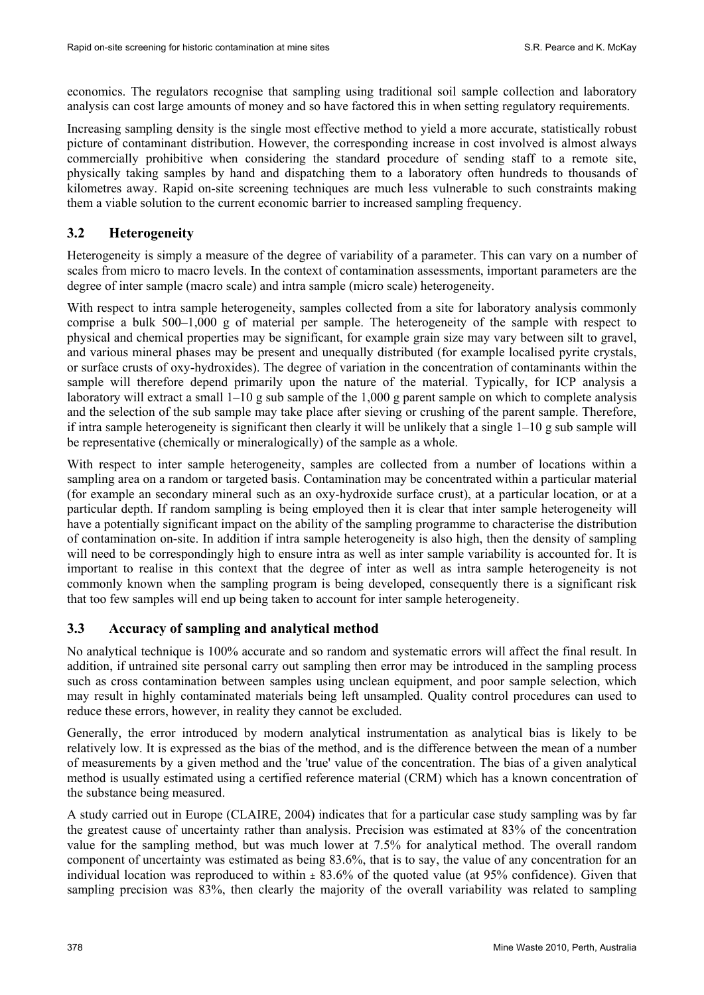economics. The regulators recognise that sampling using traditional soil sample collection and laboratory analysis can cost large amounts of money and so have factored this in when setting regulatory requirements.

Increasing sampling density is the single most effective method to yield a more accurate, statistically robust picture of contaminant distribution. However, the corresponding increase in cost involved is almost always commercially prohibitive when considering the standard procedure of sending staff to a remote site, physically taking samples by hand and dispatching them to a laboratory often hundreds to thousands of kilometres away. Rapid on-site screening techniques are much less vulnerable to such constraints making them a viable solution to the current economic barrier to increased sampling frequency.

## **3.2 Heterogeneity**

Heterogeneity is simply a measure of the degree of variability of a parameter. This can vary on a number of scales from micro to macro levels. In the context of contamination assessments, important parameters are the degree of inter sample (macro scale) and intra sample (micro scale) heterogeneity.

With respect to intra sample heterogeneity, samples collected from a site for laboratory analysis commonly comprise a bulk 500–1,000 g of material per sample. The heterogeneity of the sample with respect to physical and chemical properties may be significant, for example grain size may vary between silt to gravel, and various mineral phases may be present and unequally distributed (for example localised pyrite crystals, or surface crusts of oxy-hydroxides). The degree of variation in the concentration of contaminants within the sample will therefore depend primarily upon the nature of the material. Typically, for ICP analysis a laboratory will extract a small  $1-10$  g sub sample of the 1,000 g parent sample on which to complete analysis and the selection of the sub sample may take place after sieving or crushing of the parent sample. Therefore, if intra sample heterogeneity is significant then clearly it will be unlikely that a single 1–10 g sub sample will be representative (chemically or mineralogically) of the sample as a whole.

With respect to inter sample heterogeneity, samples are collected from a number of locations within a sampling area on a random or targeted basis. Contamination may be concentrated within a particular material (for example an secondary mineral such as an oxy-hydroxide surface crust), at a particular location, or at a particular depth. If random sampling is being employed then it is clear that inter sample heterogeneity will have a potentially significant impact on the ability of the sampling programme to characterise the distribution of contamination on-site. In addition if intra sample heterogeneity is also high, then the density of sampling will need to be correspondingly high to ensure intra as well as inter sample variability is accounted for. It is important to realise in this context that the degree of inter as well as intra sample heterogeneity is not commonly known when the sampling program is being developed, consequently there is a significant risk that too few samples will end up being taken to account for inter sample heterogeneity.

# **3.3 Accuracy of sampling and analytical method**

No analytical technique is 100% accurate and so random and systematic errors will affect the final result. In addition, if untrained site personal carry out sampling then error may be introduced in the sampling process such as cross contamination between samples using unclean equipment, and poor sample selection, which may result in highly contaminated materials being left unsampled. Quality control procedures can used to reduce these errors, however, in reality they cannot be excluded.

Generally, the error introduced by modern analytical instrumentation as analytical bias is likely to be relatively low. It is expressed as the bias of the method, and is the difference between the mean of a number of measurements by a given method and the 'true' value of the concentration. The bias of a given analytical method is usually estimated using a certified reference material (CRM) which has a known concentration of the substance being measured.

A study carried out in Europe (CLAIRE, 2004) indicates that for a particular case study sampling was by far the greatest cause of uncertainty rather than analysis. Precision was estimated at 83% of the concentration value for the sampling method, but was much lower at 7.5% for analytical method. The overall random component of uncertainty was estimated as being 83.6%, that is to say, the value of any concentration for an individual location was reproduced to within  $\pm 83.6\%$  of the quoted value (at 95% confidence). Given that sampling precision was 83%, then clearly the majority of the overall variability was related to sampling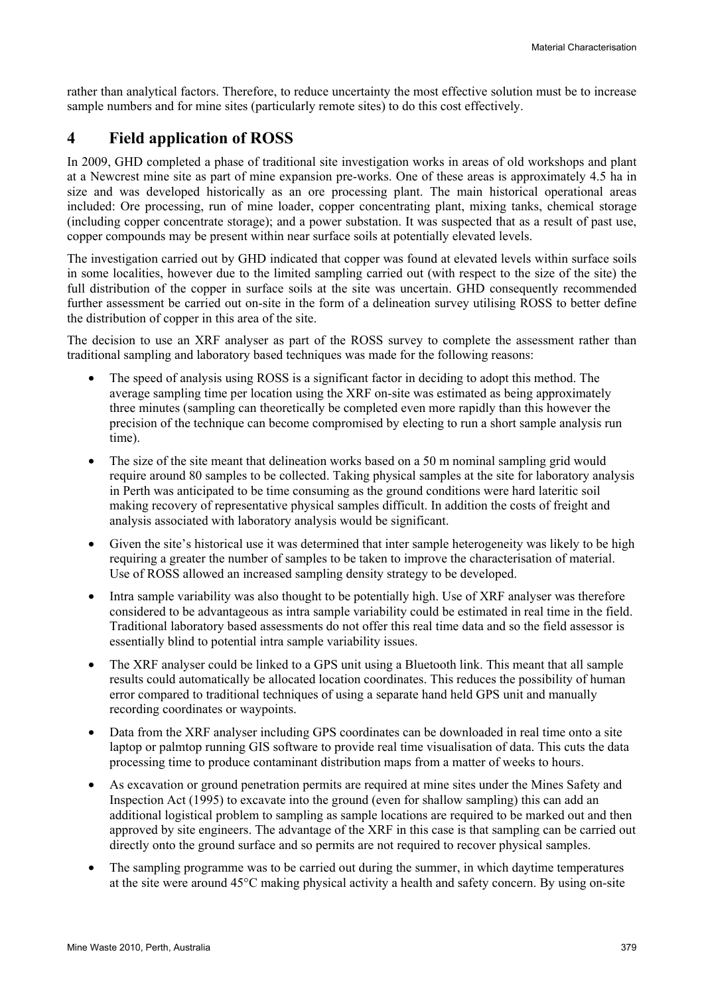rather than analytical factors. Therefore, to reduce uncertainty the most effective solution must be to increase sample numbers and for mine sites (particularly remote sites) to do this cost effectively.

# **4 Field application of ROSS**

In 2009, GHD completed a phase of traditional site investigation works in areas of old workshops and plant at a Newcrest mine site as part of mine expansion pre-works. One of these areas is approximately 4.5 ha in size and was developed historically as an ore processing plant. The main historical operational areas included: Ore processing, run of mine loader, copper concentrating plant, mixing tanks, chemical storage (including copper concentrate storage); and a power substation. It was suspected that as a result of past use, copper compounds may be present within near surface soils at potentially elevated levels.

The investigation carried out by GHD indicated that copper was found at elevated levels within surface soils in some localities, however due to the limited sampling carried out (with respect to the size of the site) the full distribution of the copper in surface soils at the site was uncertain. GHD consequently recommended further assessment be carried out on-site in the form of a delineation survey utilising ROSS to better define the distribution of copper in this area of the site.

The decision to use an XRF analyser as part of the ROSS survey to complete the assessment rather than traditional sampling and laboratory based techniques was made for the following reasons:

- The speed of analysis using ROSS is a significant factor in deciding to adopt this method. The average sampling time per location using the XRF on-site was estimated as being approximately three minutes (sampling can theoretically be completed even more rapidly than this however the precision of the technique can become compromised by electing to run a short sample analysis run time).
- The size of the site meant that delineation works based on a 50 m nominal sampling grid would require around 80 samples to be collected. Taking physical samples at the site for laboratory analysis in Perth was anticipated to be time consuming as the ground conditions were hard lateritic soil making recovery of representative physical samples difficult. In addition the costs of freight and analysis associated with laboratory analysis would be significant.
- Given the site's historical use it was determined that inter sample heterogeneity was likely to be high requiring a greater the number of samples to be taken to improve the characterisation of material. Use of ROSS allowed an increased sampling density strategy to be developed.
- Intra sample variability was also thought to be potentially high. Use of XRF analyser was therefore considered to be advantageous as intra sample variability could be estimated in real time in the field. Traditional laboratory based assessments do not offer this real time data and so the field assessor is essentially blind to potential intra sample variability issues.
- The XRF analyser could be linked to a GPS unit using a Bluetooth link. This meant that all sample results could automatically be allocated location coordinates. This reduces the possibility of human error compared to traditional techniques of using a separate hand held GPS unit and manually recording coordinates or waypoints.
- Data from the XRF analyser including GPS coordinates can be downloaded in real time onto a site laptop or palmtop running GIS software to provide real time visualisation of data. This cuts the data processing time to produce contaminant distribution maps from a matter of weeks to hours.
- As excavation or ground penetration permits are required at mine sites under the Mines Safety and Inspection Act (1995) to excavate into the ground (even for shallow sampling) this can add an additional logistical problem to sampling as sample locations are required to be marked out and then approved by site engineers. The advantage of the XRF in this case is that sampling can be carried out directly onto the ground surface and so permits are not required to recover physical samples.
- The sampling programme was to be carried out during the summer, in which daytime temperatures at the site were around 45°C making physical activity a health and safety concern. By using on-site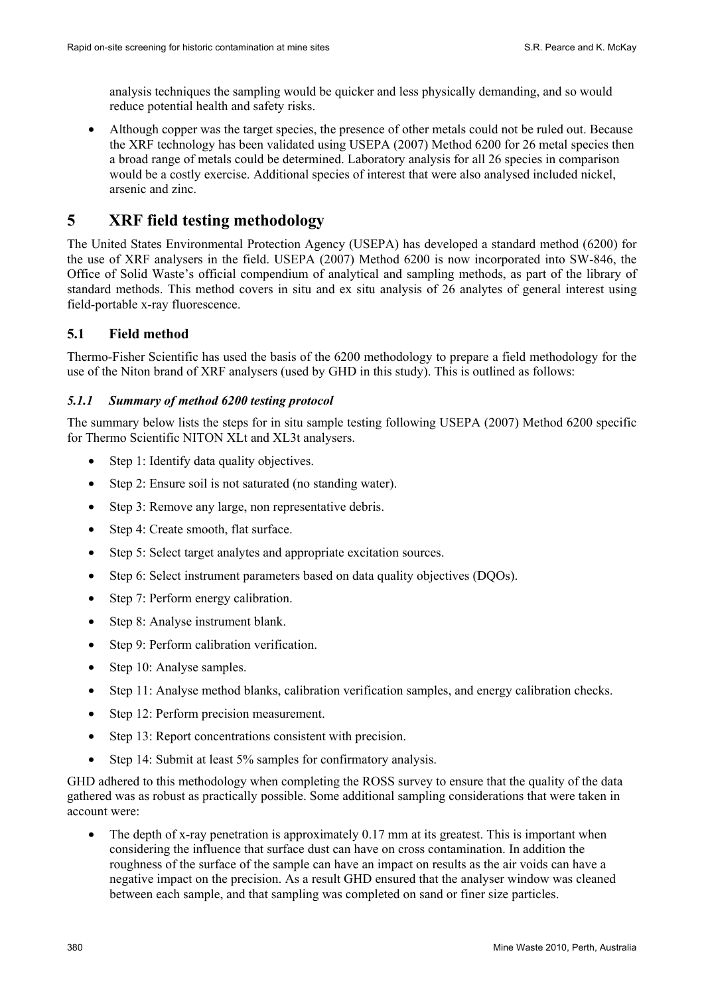analysis techniques the sampling would be quicker and less physically demanding, and so would reduce potential health and safety risks.

• Although copper was the target species, the presence of other metals could not be ruled out. Because the XRF technology has been validated using USEPA (2007) Method 6200 for 26 metal species then a broad range of metals could be determined. Laboratory analysis for all 26 species in comparison would be a costly exercise. Additional species of interest that were also analysed included nickel, arsenic and zinc.

# **5 XRF field testing methodology**

The United States Environmental Protection Agency (USEPA) has developed a standard method (6200) for the use of XRF analysers in the field. USEPA (2007) Method 6200 is now incorporated into SW-846, the Office of Solid Waste's official compendium of analytical and sampling methods, as part of the library of standard methods. This method covers in situ and ex situ analysis of 26 analytes of general interest using field-portable x-ray fluorescence.

## **5.1 Field method**

Thermo-Fisher Scientific has used the basis of the 6200 methodology to prepare a field methodology for the use of the Niton brand of XRF analysers (used by GHD in this study). This is outlined as follows:

### *5.1.1 Summary of method 6200 testing protocol*

The summary below lists the steps for in situ sample testing following USEPA (2007) Method 6200 specific for Thermo Scientific NITON XLt and XL3t analysers.

- Step 1: Identify data quality objectives.
- Step 2: Ensure soil is not saturated (no standing water).
- Step 3: Remove any large, non representative debris.
- Step 4: Create smooth, flat surface.
- Step 5: Select target analytes and appropriate excitation sources.
- Step 6: Select instrument parameters based on data quality objectives (DOOs).
- Step 7: Perform energy calibration.
- Step 8: Analyse instrument blank.
- Step 9: Perform calibration verification.
- Step 10: Analyse samples.
- Step 11: Analyse method blanks, calibration verification samples, and energy calibration checks.
- Step 12: Perform precision measurement.
- Step 13: Report concentrations consistent with precision.
- Step 14: Submit at least 5% samples for confirmatory analysis.

GHD adhered to this methodology when completing the ROSS survey to ensure that the quality of the data gathered was as robust as practically possible. Some additional sampling considerations that were taken in account were:

The depth of x-ray penetration is approximately 0.17 mm at its greatest. This is important when considering the influence that surface dust can have on cross contamination. In addition the roughness of the surface of the sample can have an impact on results as the air voids can have a negative impact on the precision. As a result GHD ensured that the analyser window was cleaned between each sample, and that sampling was completed on sand or finer size particles.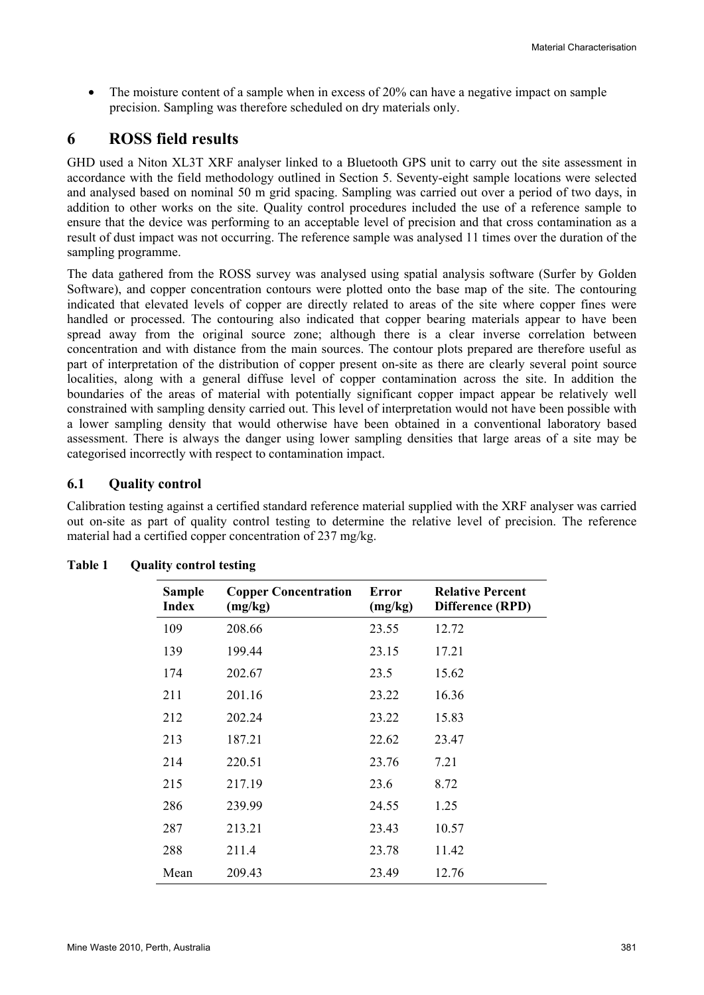• The moisture content of a sample when in excess of 20% can have a negative impact on sample precision. Sampling was therefore scheduled on dry materials only.

# **6 ROSS field results**

GHD used a Niton XL3T XRF analyser linked to a Bluetooth GPS unit to carry out the site assessment in accordance with the field methodology outlined in Section 5. Seventy-eight sample locations were selected and analysed based on nominal 50 m grid spacing. Sampling was carried out over a period of two days, in addition to other works on the site. Quality control procedures included the use of a reference sample to ensure that the device was performing to an acceptable level of precision and that cross contamination as a result of dust impact was not occurring. The reference sample was analysed 11 times over the duration of the sampling programme.

The data gathered from the ROSS survey was analysed using spatial analysis software (Surfer by Golden Software), and copper concentration contours were plotted onto the base map of the site. The contouring indicated that elevated levels of copper are directly related to areas of the site where copper fines were handled or processed. The contouring also indicated that copper bearing materials appear to have been spread away from the original source zone; although there is a clear inverse correlation between concentration and with distance from the main sources. The contour plots prepared are therefore useful as part of interpretation of the distribution of copper present on-site as there are clearly several point source localities, along with a general diffuse level of copper contamination across the site. In addition the boundaries of the areas of material with potentially significant copper impact appear be relatively well constrained with sampling density carried out. This level of interpretation would not have been possible with a lower sampling density that would otherwise have been obtained in a conventional laboratory based assessment. There is always the danger using lower sampling densities that large areas of a site may be categorised incorrectly with respect to contamination impact.

## **6.1 Quality control**

Calibration testing against a certified standard reference material supplied with the XRF analyser was carried out on-site as part of quality control testing to determine the relative level of precision. The reference material had a certified copper concentration of 237 mg/kg.

| <b>Sample</b><br><b>Index</b> | <b>Copper Concentration</b><br>(mg/kg) | Error<br>(mg/kg) | <b>Relative Percent</b><br>Difference (RPD) |
|-------------------------------|----------------------------------------|------------------|---------------------------------------------|
| 109                           | 208.66                                 | 23.55            | 12.72                                       |
| 139                           | 199.44                                 | 23.15            | 17.21                                       |
| 174                           | 202.67                                 | 23.5             | 15.62                                       |
| 211                           | 201.16                                 | 23.22            | 16.36                                       |
| 212                           | 202.24                                 | 23.22            | 15.83                                       |
| 213                           | 187.21                                 | 22.62            | 23.47                                       |
| 214                           | 220.51                                 | 23.76            | 7.21                                        |
| 215                           | 217.19                                 | 23.6             | 8.72                                        |
| 286                           | 239.99                                 | 24.55            | 1.25                                        |
| 287                           | 213.21                                 | 23.43            | 10.57                                       |
| 288                           | 211.4                                  | 23.78            | 11.42                                       |
| Mean                          | 209.43                                 | 23.49            | 12.76                                       |

### Table 1 Ouality control testing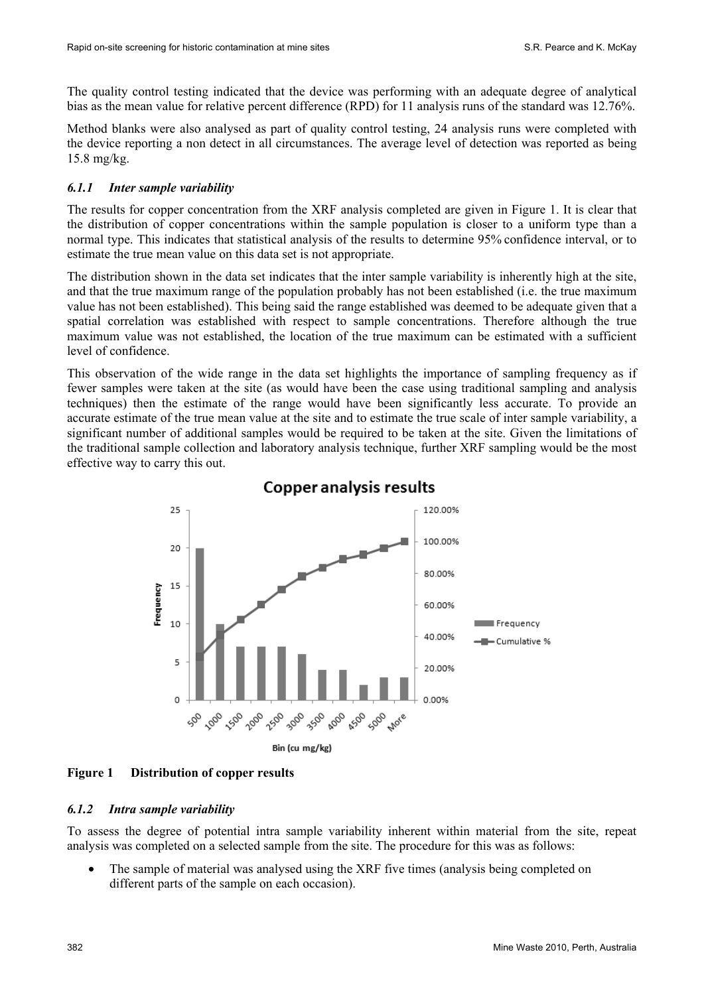The quality control testing indicated that the device was performing with an adequate degree of analytical bias as the mean value for relative percent difference (RPD) for 11 analysis runs of the standard was 12.76%.

Method blanks were also analysed as part of quality control testing, 24 analysis runs were completed with the device reporting a non detect in all circumstances. The average level of detection was reported as being 15.8 mg/kg.

#### *6.1.1 Inter sample variability*

The results for copper concentration from the XRF analysis completed are given in Figure 1. It is clear that the distribution of copper concentrations within the sample population is closer to a uniform type than a normal type. This indicates that statistical analysis of the results to determine 95% confidence interval, or to estimate the true mean value on this data set is not appropriate.

The distribution shown in the data set indicates that the inter sample variability is inherently high at the site, and that the true maximum range of the population probably has not been established (i.e. the true maximum value has not been established). This being said the range established was deemed to be adequate given that a spatial correlation was established with respect to sample concentrations. Therefore although the true maximum value was not established, the location of the true maximum can be estimated with a sufficient level of confidence.

This observation of the wide range in the data set highlights the importance of sampling frequency as if fewer samples were taken at the site (as would have been the case using traditional sampling and analysis techniques) then the estimate of the range would have been significantly less accurate. To provide an accurate estimate of the true mean value at the site and to estimate the true scale of inter sample variability, a significant number of additional samples would be required to be taken at the site. Given the limitations of the traditional sample collection and laboratory analysis technique, further XRF sampling would be the most effective way to carry this out.



# **Copper analysis results**

### **Figure 1 Distribution of copper results**

#### *6.1.2 Intra sample variability*

To assess the degree of potential intra sample variability inherent within material from the site, repeat analysis was completed on a selected sample from the site. The procedure for this was as follows:

• The sample of material was analysed using the XRF five times (analysis being completed on different parts of the sample on each occasion).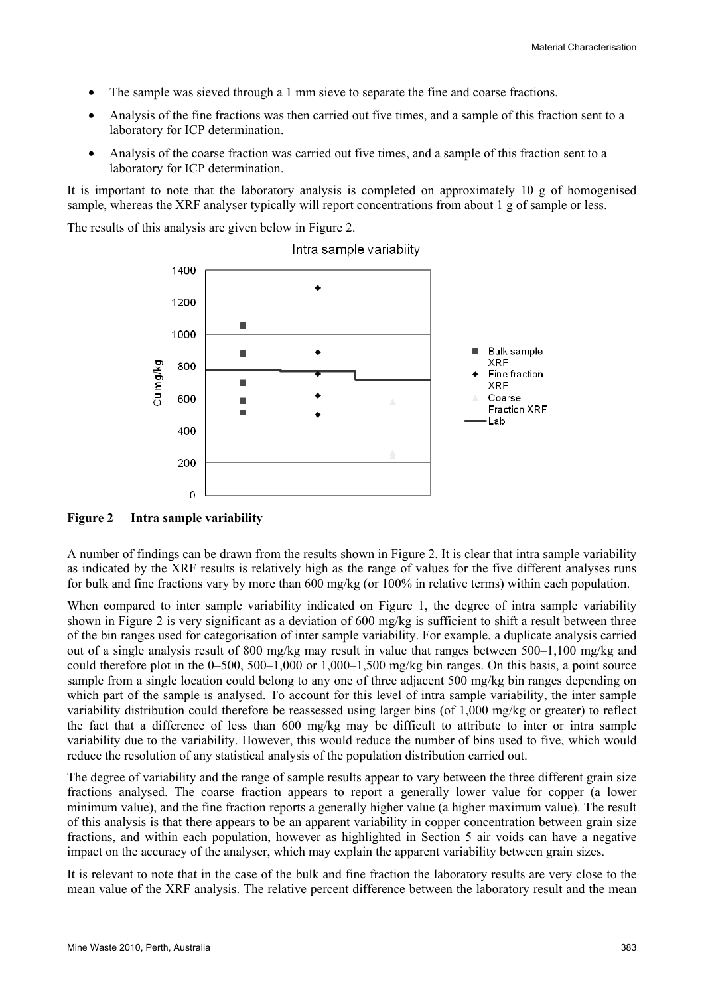- The sample was sieved through a 1 mm sieve to separate the fine and coarse fractions.
- Analysis of the fine fractions was then carried out five times, and a sample of this fraction sent to a laboratory for ICP determination.
- Analysis of the coarse fraction was carried out five times, and a sample of this fraction sent to a laboratory for ICP determination.

It is important to note that the laboratory analysis is completed on approximately 10 g of homogenised sample, whereas the XRF analyser typically will report concentrations from about 1 g of sample or less.

The results of this analysis are given below in Figure 2.



Intra sample variabiity

#### **Figure 2 Intra sample variability**

A number of findings can be drawn from the results shown in Figure 2. It is clear that intra sample variability as indicated by the XRF results is relatively high as the range of values for the five different analyses runs for bulk and fine fractions vary by more than 600 mg/kg (or 100% in relative terms) within each population.

When compared to inter sample variability indicated on Figure 1, the degree of intra sample variability shown in Figure 2 is very significant as a deviation of 600 mg/kg is sufficient to shift a result between three of the bin ranges used for categorisation of inter sample variability. For example, a duplicate analysis carried out of a single analysis result of 800 mg/kg may result in value that ranges between 500–1,100 mg/kg and could therefore plot in the 0–500, 500–1,000 or 1,000–1,500 mg/kg bin ranges. On this basis, a point source sample from a single location could belong to any one of three adjacent 500 mg/kg bin ranges depending on which part of the sample is analysed. To account for this level of intra sample variability, the inter sample variability distribution could therefore be reassessed using larger bins (of 1,000 mg/kg or greater) to reflect the fact that a difference of less than 600 mg/kg may be difficult to attribute to inter or intra sample variability due to the variability. However, this would reduce the number of bins used to five, which would reduce the resolution of any statistical analysis of the population distribution carried out.

The degree of variability and the range of sample results appear to vary between the three different grain size fractions analysed. The coarse fraction appears to report a generally lower value for copper (a lower minimum value), and the fine fraction reports a generally higher value (a higher maximum value). The result of this analysis is that there appears to be an apparent variability in copper concentration between grain size fractions, and within each population, however as highlighted in Section 5 air voids can have a negative impact on the accuracy of the analyser, which may explain the apparent variability between grain sizes.

It is relevant to note that in the case of the bulk and fine fraction the laboratory results are very close to the mean value of the XRF analysis. The relative percent difference between the laboratory result and the mean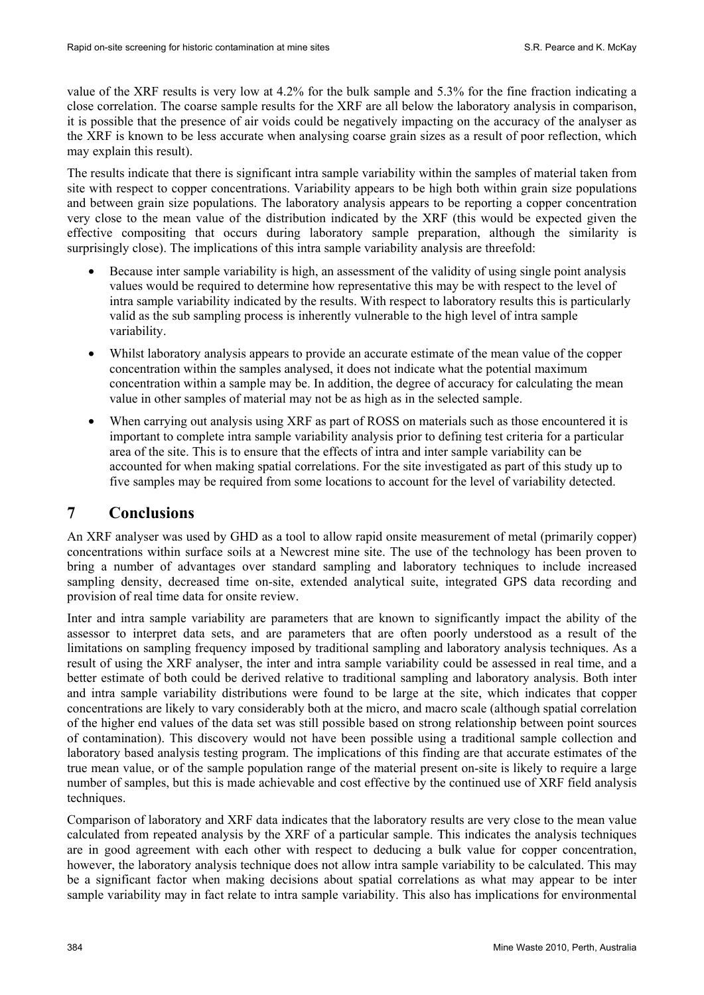value of the XRF results is very low at 4.2% for the bulk sample and 5.3% for the fine fraction indicating a close correlation. The coarse sample results for the XRF are all below the laboratory analysis in comparison, it is possible that the presence of air voids could be negatively impacting on the accuracy of the analyser as the XRF is known to be less accurate when analysing coarse grain sizes as a result of poor reflection, which may explain this result).

The results indicate that there is significant intra sample variability within the samples of material taken from site with respect to copper concentrations. Variability appears to be high both within grain size populations and between grain size populations. The laboratory analysis appears to be reporting a copper concentration very close to the mean value of the distribution indicated by the XRF (this would be expected given the effective compositing that occurs during laboratory sample preparation, although the similarity is surprisingly close). The implications of this intra sample variability analysis are threefold:

- Because inter sample variability is high, an assessment of the validity of using single point analysis values would be required to determine how representative this may be with respect to the level of intra sample variability indicated by the results. With respect to laboratory results this is particularly valid as the sub sampling process is inherently vulnerable to the high level of intra sample variability.
- Whilst laboratory analysis appears to provide an accurate estimate of the mean value of the copper concentration within the samples analysed, it does not indicate what the potential maximum concentration within a sample may be. In addition, the degree of accuracy for calculating the mean value in other samples of material may not be as high as in the selected sample.
- When carrying out analysis using XRF as part of ROSS on materials such as those encountered it is important to complete intra sample variability analysis prior to defining test criteria for a particular area of the site. This is to ensure that the effects of intra and inter sample variability can be accounted for when making spatial correlations. For the site investigated as part of this study up to five samples may be required from some locations to account for the level of variability detected.

# **7 Conclusions**

An XRF analyser was used by GHD as a tool to allow rapid onsite measurement of metal (primarily copper) concentrations within surface soils at a Newcrest mine site. The use of the technology has been proven to bring a number of advantages over standard sampling and laboratory techniques to include increased sampling density, decreased time on-site, extended analytical suite, integrated GPS data recording and provision of real time data for onsite review.

Inter and intra sample variability are parameters that are known to significantly impact the ability of the assessor to interpret data sets, and are parameters that are often poorly understood as a result of the limitations on sampling frequency imposed by traditional sampling and laboratory analysis techniques. As a result of using the XRF analyser, the inter and intra sample variability could be assessed in real time, and a better estimate of both could be derived relative to traditional sampling and laboratory analysis. Both inter and intra sample variability distributions were found to be large at the site, which indicates that copper concentrations are likely to vary considerably both at the micro, and macro scale (although spatial correlation of the higher end values of the data set was still possible based on strong relationship between point sources of contamination). This discovery would not have been possible using a traditional sample collection and laboratory based analysis testing program. The implications of this finding are that accurate estimates of the true mean value, or of the sample population range of the material present on-site is likely to require a large number of samples, but this is made achievable and cost effective by the continued use of XRF field analysis techniques.

Comparison of laboratory and XRF data indicates that the laboratory results are very close to the mean value calculated from repeated analysis by the XRF of a particular sample. This indicates the analysis techniques are in good agreement with each other with respect to deducing a bulk value for copper concentration, however, the laboratory analysis technique does not allow intra sample variability to be calculated. This may be a significant factor when making decisions about spatial correlations as what may appear to be inter sample variability may in fact relate to intra sample variability. This also has implications for environmental